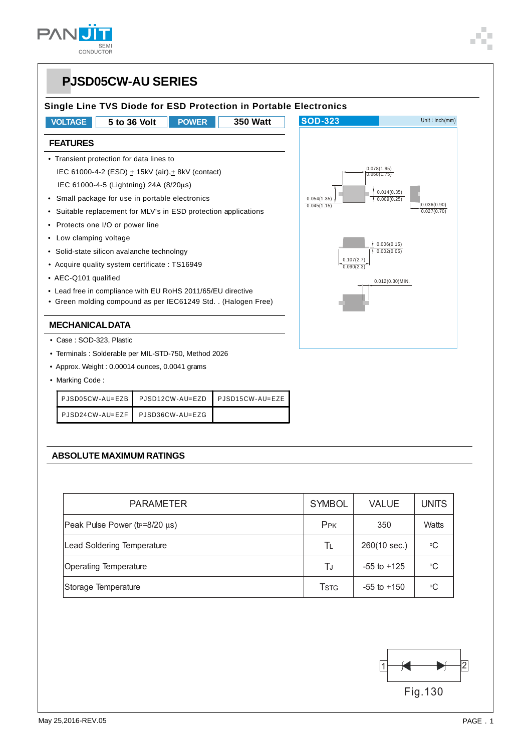

### **PJSD05CW-AU SERIES Single Line TVS Diode for ESD Protection in Portable Electronics VOLTAGE 5 to 36 Volt POWER 350 Watt SOD-323** Unit: $inch(mm)$ **FEATURES** • Transient protection for data lines to IEC 61000-4-2 (ESD)  $\pm$  15kV (air), $\pm$  8kV (contact) 0.078(1.95) 0.068(1.75) IEC 61000-4-5 (Lightning) 24A (8/20μs) 0.014(0.35) 0.009(0.25) • Small package for use in portable electronics 0.054(1.35) 0.045(1.15)  $|0.036(0.90)|$  • Suitable replacement for MLV's in ESD protection applications 0.027(0.70) • Protects one I/O or power line • Low clamping voltage  $10.006(0.15)$  • Solid-state silicon avalanche technolngy  $\frac{1}{1}$  0.002(0.05) 0.107(2.7) • Acquire quality system certificate : TS16949  $0.090(2.3)$  • AEC-Q101 qualified 0.012(0.30)MIN. • Lead free in compliance with EU RoHS 2011/65/EU directive • Green molding compound as per IEC61249 Std. . (Halogen Free) **MECHANICAL DATA** • Case : SOD-323, Plastic • Terminals : Solderable per MIL-STD-750, Method 2026 • Approx. Weight : 0.00014 ounces, 0.0041 grams • Marking Code : PJSD05CW-AU=EZB PJSD12CW-AU=EZD PJSD15CW-AU=EZE PJSD24CW-AU=EZF PJSD36CW-AU=EZG **ABSOLUTE MAXIMUM RATINGS** PARAMETER SYMBOL VALUE UNITS

| Peak Pulse Power (tp=8/20 µs) | P <sub>PK</sub> | 350             | Watts |
|-------------------------------|-----------------|-----------------|-------|
| Lead Soldering Temperature    | Tı              | 260(10 sec.)    | ∘C    |
| <b>Operating Temperature</b>  | ТJ              | $-55$ to $+125$ | ∘C    |
| Storage Temperature           | <b>T</b> stg    | $-55$ to $+150$ | ∘C    |

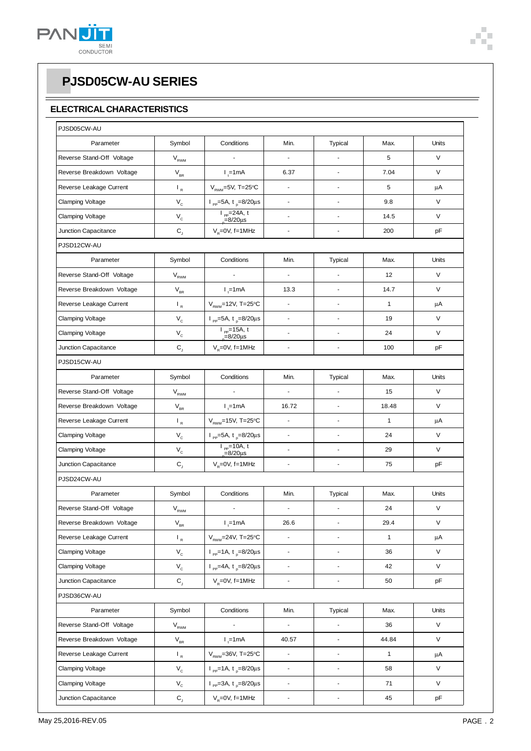

#### **ELECTRICAL CHARACTERISTICS**

| PJSD05CW-AU               |                                  |                                                         |                          |                          |              |             |
|---------------------------|----------------------------------|---------------------------------------------------------|--------------------------|--------------------------|--------------|-------------|
| Parameter                 | Symbol                           | Conditions                                              | Min.                     | Typical                  | Max.         | Units       |
| Reverse Stand-Off Voltage | $V_{RWM}$                        |                                                         | ä,                       |                          | 5            | V           |
| Reverse Breakdown Voltage | $\mathsf{V}_{\mathsf{BR}}$       | $I_{1}$ =1mA                                            | 6.37                     | $\blacksquare$           | 7.04         | V           |
| Reverse Leakage Current   | $\mathsf{L}_{\mathsf{R}}$        | $V_{RWM}$ =5V, T=25°C                                   | L,                       |                          | 5            | μA          |
| <b>Clamping Voltage</b>   | $\mathsf{V}_{\mathsf{c}}$        | $I_{\text{pp}} = 5A, t_{\text{p}} = 8/20 \mu s$         | ÷                        | $\blacksquare$           | 9.8          | V           |
| <b>Clamping Voltage</b>   | $\mathsf{V}_{\mathsf{c}}$        | $I_{pp}$ =24A, t<br>$=8/20 \mu s$                       | $\overline{a}$           | ÷,                       | 14.5         | V           |
| Junction Capacitance      | $\mathsf{C}\xspace_{\mathsf{J}}$ | $V_R = 0V$ , f=1MHz                                     | $\overline{a}$           | ÷,                       | 200          | pF          |
| PJSD12CW-AU               |                                  |                                                         |                          |                          |              |             |
| Parameter                 | Symbol                           | Conditions                                              | Min.                     | <b>Typical</b>           | Max.         | Units       |
| Reverse Stand-Off Voltage | $V_{RWM}$                        |                                                         | ä,                       |                          | 12           | V           |
| Reverse Breakdown Voltage | $V_{BR}$                         | $l_{1}$ =1mA                                            | 13.3                     | J.                       | 14.7         | V           |
| Reverse Leakage Current   | $\mathsf{I}_R$                   | $V_{RWM}$ =12V, T=25°C                                  | L,                       | ä,                       | $\mathbf{1}$ | μA          |
| <b>Clamping Voltage</b>   | $\mathsf{V}_{\mathsf{c}}$        | $I_{\text{pp}} = 5A, t_{\text{p}} = 8/20 \mu s$         | $\blacksquare$           | ä,                       | 19           | V           |
| <b>Clamping Voltage</b>   | $\mathsf{V}_{\mathsf{C}}$        | $I_{pp}$ =15A, t<br>$=8/20 \mu s$                       | $\overline{\phantom{a}}$ | $\overline{\phantom{a}}$ | 24           | V           |
| Junction Capacitance      | $\mathsf{C}\xspace_{\mathsf{J}}$ | $V_R = 0V$ , f=1MHz                                     | $\overline{a}$           |                          | 100          | pF          |
| PJSD15CW-AU               |                                  |                                                         |                          |                          |              |             |
| Parameter                 | Symbol                           | Conditions                                              | Min.                     | <b>Typical</b>           | Max.         | Units       |
| Reverse Stand-Off Voltage | $V_{RWM}$                        |                                                         | ÷,                       | ÷,                       | 15           | V           |
| Reverse Breakdown Voltage | $V_{BR}$                         | $I_{1}$ =1mA                                            | 16.72                    | $\blacksquare$           | 18.48        | V           |
| Reverse Leakage Current   | $\mathsf{L}_{\mathsf{R}}$        | $V_{RWM}$ =15V, T=25°C                                  | $\blacksquare$           | $\overline{\phantom{a}}$ | $\mathbf{1}$ | μA          |
| <b>Clamping Voltage</b>   | $\mathsf{V}_{\mathsf{c}}$        | $I_{\text{pp}} = 5A, t_{\text{p}} = 8/20 \mu s$         | $\overline{\phantom{a}}$ | ÷,                       | 24           | V           |
| <b>Clamping Voltage</b>   | $\mathsf{V}_{\mathsf{c}}$        | $I_{pp}$ =10A, t<br>$=8/20 \mu s$                       | $\blacksquare$           | ÷.                       | 29           | $\vee$      |
| Junction Capacitance      | $C_{j}$                          | $V_R = 0V$ , f=1MHz                                     | ÷,                       | ä,                       | 75           | pF          |
| PJSD24CW-AU               |                                  |                                                         |                          |                          |              |             |
| Parameter                 | Symbol                           | Conditions                                              | Min.                     | <b>Typical</b>           | Max.         | Units       |
| Reverse Stand-Off Voltage | $V_{RWM}$                        |                                                         | ÷,                       | L,                       | 24           | V           |
| Reverse Breakdown Voltage | $\rm V_{\rm BR}$                 | $I_t$ =1mA                                              | 26.6                     | $\blacksquare$           | 29.4         | $\mathsf V$ |
| Reverse Leakage Current   | $\mathsf{I}_{\mathsf{R}}$        | $V_{RWM} = 24V$ , T=25°C                                | ÷                        | $\blacksquare$           | $\mathbf{1}$ | μA          |
| Clamping Voltage          | $\mathsf{V}_{\mathsf{c}}$        | $I_{\text{pp}} = 1 \text{A}, t_{\text{p}} = 8/20 \mu s$ | $\overline{\phantom{a}}$ | $\blacksquare$           | 36           | V           |
| <b>Clamping Voltage</b>   | $\mathsf{V}_{\mathsf{c}}$        | $I_{\text{pp}} = 4A, t_{\text{p}} = 8/20 \mu s$         | $\overline{\phantom{a}}$ | ÷,                       | 42           | V           |
| Junction Capacitance      | $\mathbf{C}_\mathsf{J}$          | $V_R = 0V$ , f=1MHz                                     | $\overline{\phantom{a}}$ | $\blacksquare$           | 50           | pF          |
| PJSD36CW-AU               |                                  |                                                         |                          |                          |              |             |
| Parameter                 | Symbol                           | Conditions                                              | Min.                     | <b>Typical</b>           | Max.         | Units       |
| Reverse Stand-Off Voltage | $\mathsf{V}_{\mathsf{RWM}}$      |                                                         | ä,                       | ÷,                       | 36           | V           |
| Reverse Breakdown Voltage | $\mathsf{V}_{\mathsf{BR}}$       | $l_{\uparrow}$ =1mA                                     | 40.57                    | $\Box$                   | 44.84        | V           |
| Reverse Leakage Current   | $\mathsf{L}_{\mathsf{R}}$        | $V_{RWM} = 36V$ , T=25°C                                | $\overline{\phantom{a}}$ | $\blacksquare$           | $\mathbf{1}$ | μA          |
| <b>Clamping Voltage</b>   | $\mathsf{V}_{\mathsf{c}}$        | $I_{\text{pp}} = 1 \text{A}, t_{\text{p}} = 8/20 \mu s$ | ä,                       | ÷,                       | 58           | V           |
| Clamping Voltage          | $\mathsf{V}_{\mathsf{c}}$        | $I_{\text{pp}} = 3A, t_{\text{p}} = 8/20 \mu s$         | $\blacksquare$           | $\blacksquare$           | 71           | V           |
| Junction Capacitance      | $\mathbf{C}_\mathsf{J}$          | $V_R = 0V$ , f=1MHz                                     | $\blacksquare$           | ÷,                       | 45           | pF          |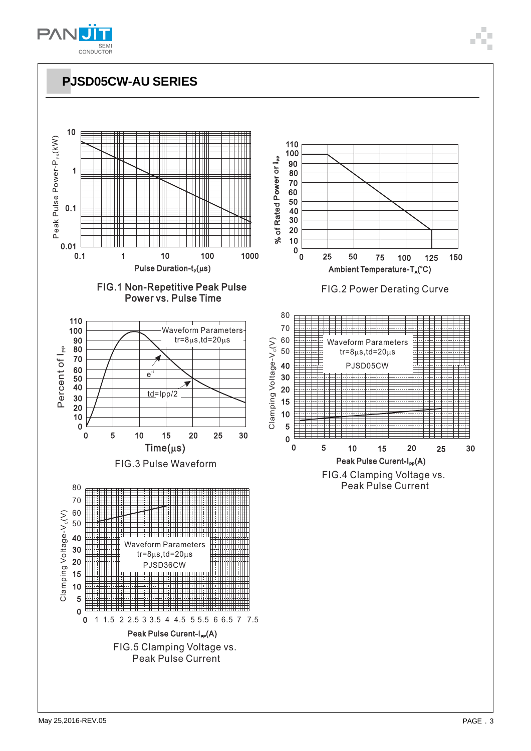

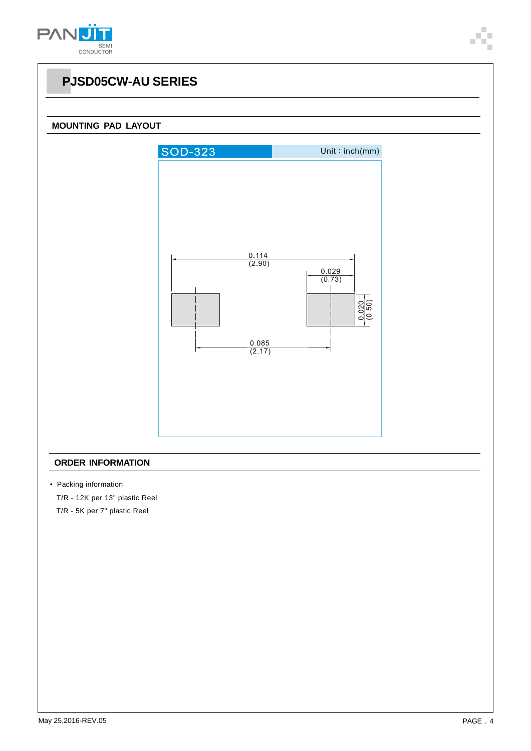



#### **ORDER INFORMATION**

• Packing information

T/R - 12K per 13" plastic Reel

T/R - 5K per 7" plastic Reel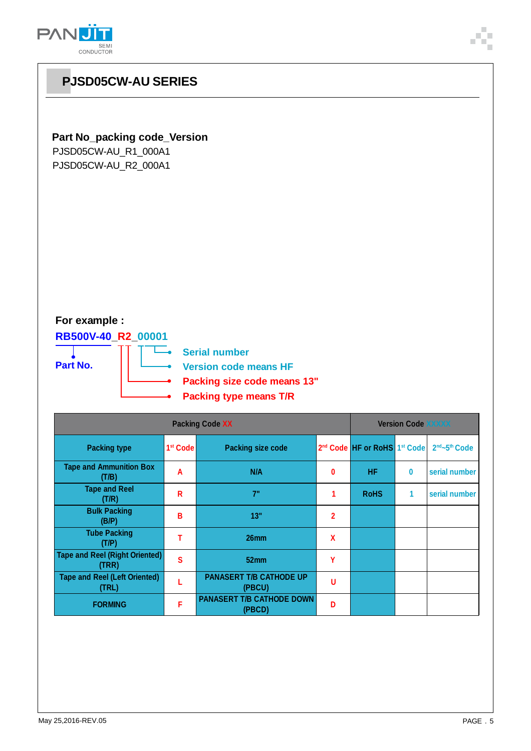

### **Part No\_packing code\_Version**

PJSD05CW-AU\_R1\_000A1 PJSD05CW-AU\_R2\_000A1

### **For example :**

**RB500V-40\_R2\_00001 Part No.**

т

**Berial number Version code means HF**

**Packing size code means 13"**

**Packing type means T/R**

| <b>Packing Code XX</b>                         |                      |                                            |             | <b>Version Code XXXXX</b>                            |          |                                       |  |
|------------------------------------------------|----------------------|--------------------------------------------|-------------|------------------------------------------------------|----------|---------------------------------------|--|
| <b>Packing type</b>                            | 1 <sup>st</sup> Code | <b>Packing size code</b>                   |             | 2 <sup>nd</sup> Code HF or RoHS 1 <sup>st</sup> Code |          | 2 <sup>nd</sup> ~5 <sup>th</sup> Code |  |
| <b>Tape and Ammunition Box</b><br>(T/B)        | A                    | N/A                                        | 0           | <b>HF</b>                                            | $\bf{0}$ | serial number                         |  |
| <b>Tape and Reel</b><br>(T/R)                  | R                    | 7"                                         |             | <b>RoHS</b>                                          | 1        | serial number                         |  |
| <b>Bulk Packing</b><br>(B/P)                   | В                    | 13"                                        | $\mathbf 2$ |                                                      |          |                                       |  |
| <b>Tube Packing</b><br>(T/P)                   |                      | 26 <sub>mm</sub>                           | $\mathbf x$ |                                                      |          |                                       |  |
| <b>Tape and Reel (Right Oriented)</b><br>(TRR) | S                    | 52mm                                       | Υ           |                                                      |          |                                       |  |
| <b>Tape and Reel (Left Oriented)</b><br>(TRL)  |                      | <b>PANASERT T/B CATHODE UP</b><br>(PBCU)   | U           |                                                      |          |                                       |  |
| <b>FORMING</b>                                 | F                    | <b>PANASERT T/B CATHODE DOWN</b><br>(PBCD) | D           |                                                      |          |                                       |  |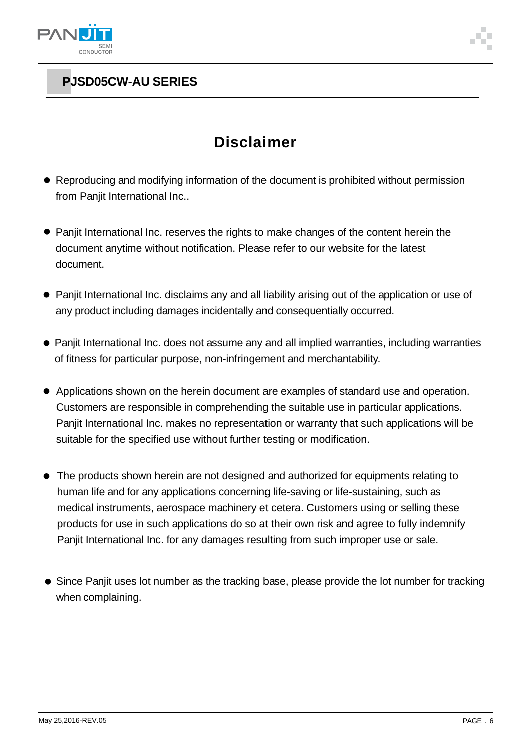

## **Disclaimer**

- Reproducing and modifying information of the document is prohibited without permission from Panjit International Inc..
- Panjit International Inc. reserves the rights to make changes of the content herein the document anytime without notification. Please refer to our website for the latest document.
- Panjit International Inc. disclaims any and all liability arising out of the application or use of any product including damages incidentally and consequentially occurred.
- Panjit International Inc. does not assume any and all implied warranties, including warranties of fitness for particular purpose, non-infringement and merchantability.
- Applications shown on the herein document are examples of standard use and operation. Customers are responsible in comprehending the suitable use in particular applications. Panjit International Inc. makes no representation or warranty that such applications will be suitable for the specified use without further testing or modification.
- The products shown herein are not designed and authorized for equipments relating to human life and for any applications concerning life-saving or life-sustaining, such as medical instruments, aerospace machinery et cetera. Customers using or selling these products for use in such applications do so at their own risk and agree to fully indemnify Panjit International Inc. for any damages resulting from such improper use or sale.
- Since Panjit uses lot number as the tracking base, please provide the lot number for tracking when complaining.